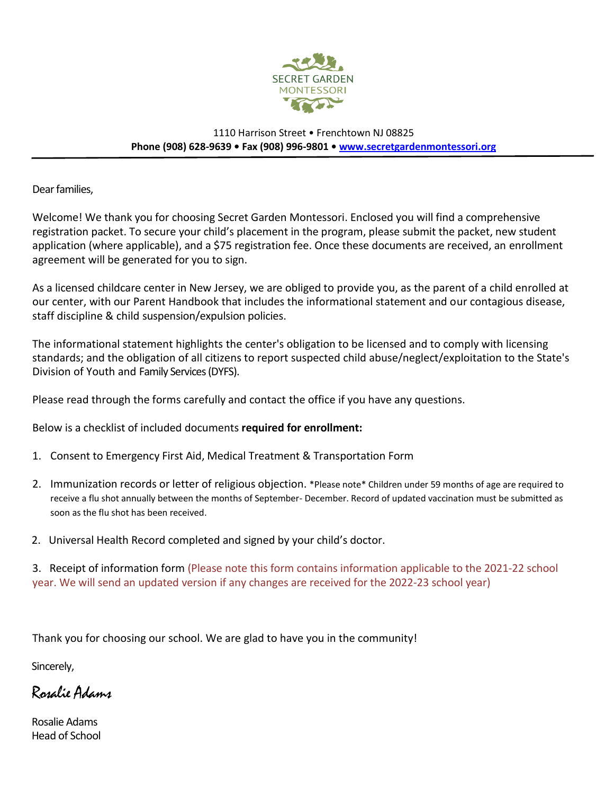

## 1110 Harrison Street • Frenchtown NJ 08825 **Phone (908) 628-9639 • Fax (908) 996-9801 • [www.secretgardenmontessori.org](http://www.secretgardenmontessori.org/)**

Dear families,

Welcome! We thank you for choosing Secret Garden Montessori. Enclosed you will find a comprehensive registration packet. To secure your child's placement in the program, please submit the packet, new student application (where applicable), and a \$75 registration fee. Once these documents are received, an enrollment agreement will be generated for you to sign.

As a licensed childcare center in New Jersey, we are obliged to provide you, as the parent of a child enrolled at our center, with our Parent Handbook that includes the informational statement and our contagious disease, staff discipline & child suspension/expulsion policies.

The informational statement highlights the center's obligation to be licensed and to comply with licensing standards; and the obligation of all citizens to report suspected child abuse/neglect/exploitation to the State's Division of Youth and Family Services (DYFS).

Please read through the forms carefully and contact the office if you have any questions.

Below is a checklist of included documents **required for enrollment:**

- 1. Consent to Emergency First Aid, Medical Treatment & Transportation Form
- 2. Immunization records or letter of religious objection. \*Please note\* Children under 59 months of age are required to receive a flu shot annually between the months of September- December. Record of updated vaccination must be submitted as soon as the flu shot has been received.
- 2. Universal Health Record completed and signed by your child's doctor.

3. Receipt of information form (Please note this form contains information applicable to the 2021-22 school year. We will send an updated version if any changes are received for the 2022-23 school year)

Thank you for choosing our school. We are glad to have you in the community!

Sincerely,

Rosalie Adams

Rosalie Adams Head of School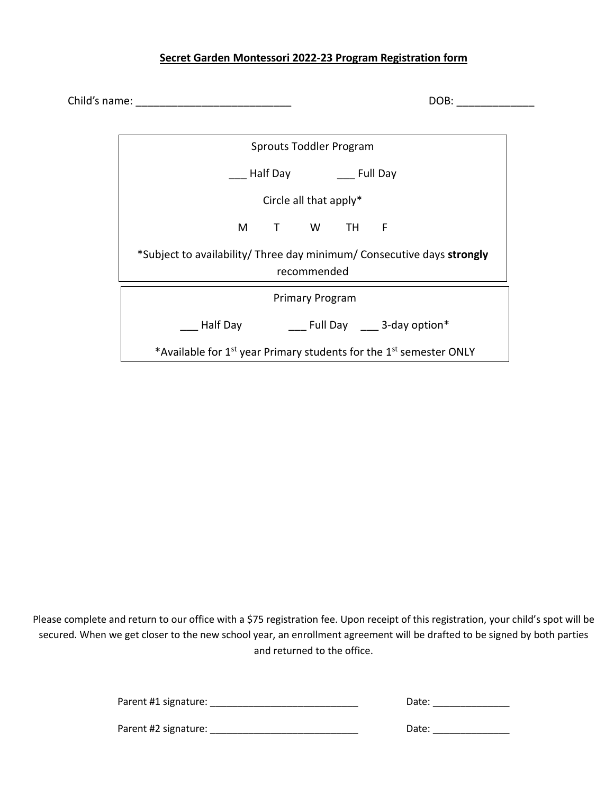## **Secret Garden Montessori 2022-23 Program Registration form**

| Child's name: | DOB:                                                                                                            |  |  |  |
|---------------|-----------------------------------------------------------------------------------------------------------------|--|--|--|
|               |                                                                                                                 |  |  |  |
|               | <b>Sprouts Toddler Program</b>                                                                                  |  |  |  |
|               | Half Day <b>Full Day</b>                                                                                        |  |  |  |
|               | Circle all that apply*                                                                                          |  |  |  |
|               | M T W TH F                                                                                                      |  |  |  |
|               | *Subject to availability/ Three day minimum/ Consecutive days strongly<br>recommended<br><b>Primary Program</b> |  |  |  |
|               |                                                                                                                 |  |  |  |
|               | Half Day Full Day 3-day option*                                                                                 |  |  |  |
|               | *Available for 1 <sup>st</sup> year Primary students for the 1 <sup>st</sup> semester ONLY                      |  |  |  |

Please complete and return to our office with a \$75 registration fee. Upon receipt of this registration, your child's spot will be secured. When we get closer to the new school year, an enrollment agreement will be drafted to be signed by both parties and returned to the office.

| Parent #1 signature: | Date: |  |
|----------------------|-------|--|
|                      |       |  |

Parent #2 signature: \_\_\_\_\_\_\_\_\_\_\_\_\_\_\_\_\_\_\_\_\_\_\_\_\_\_\_ Date: \_\_\_\_\_\_\_\_\_\_\_\_\_\_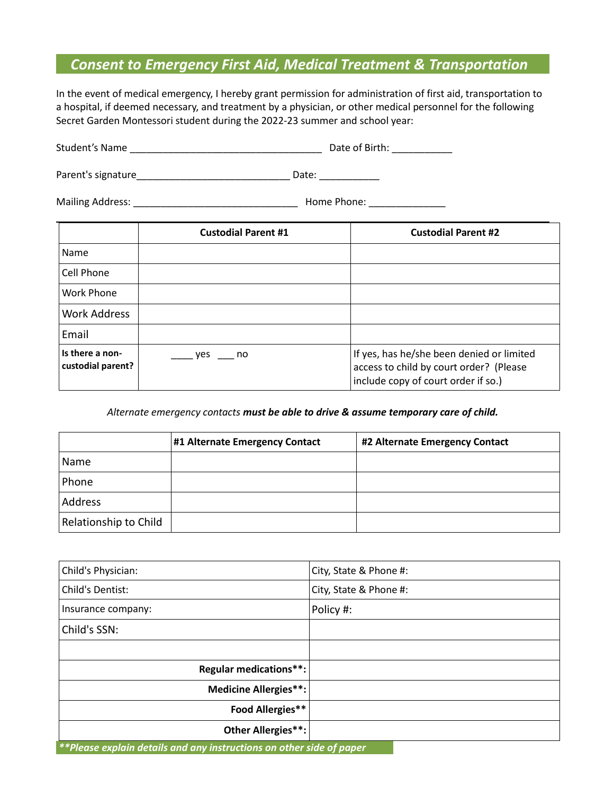# *Consent to Emergency First Aid, Medical Treatment & Transportation*

In the event of medical emergency, I hereby grant permission for administration of first aid, transportation to a hospital, if deemed necessary, and treatment by a physician, or other medical personnel for the following Secret Garden Montessori student during the 2022-23 summer and school year:

Student's Name \_\_\_\_\_\_\_\_\_\_\_\_\_\_\_\_\_\_\_\_\_\_\_\_\_\_\_\_\_\_\_\_\_\_\_ Date of Birth: \_\_\_\_\_\_\_\_\_\_\_

Parent's signature\_\_\_\_\_\_\_\_\_\_\_\_\_\_\_\_\_\_\_\_\_\_\_\_\_\_\_\_ Date: \_\_\_\_\_\_\_\_\_\_\_

Mailing Address: \_\_\_\_\_\_\_\_\_\_\_\_\_\_\_\_\_\_\_\_\_\_\_\_\_\_\_\_\_\_ Home Phone: \_\_\_\_\_\_\_\_\_\_\_\_\_\_

|                                      | <b>Custodial Parent #1</b> | <b>Custodial Parent #2</b>                                                                                                  |
|--------------------------------------|----------------------------|-----------------------------------------------------------------------------------------------------------------------------|
| Name                                 |                            |                                                                                                                             |
| Cell Phone                           |                            |                                                                                                                             |
| <b>Work Phone</b>                    |                            |                                                                                                                             |
| <b>Work Address</b>                  |                            |                                                                                                                             |
| Email                                |                            |                                                                                                                             |
| Is there a non-<br>custodial parent? | yes no                     | If yes, has he/she been denied or limited<br>access to child by court order? (Please<br>include copy of court order if so.) |

#### *Alternate emergency contacts must be able to drive & assume temporary care of child.*

|                       | #1 Alternate Emergency Contact | #2 Alternate Emergency Contact |
|-----------------------|--------------------------------|--------------------------------|
| Name                  |                                |                                |
| Phone                 |                                |                                |
| Address               |                                |                                |
| Relationship to Child |                                |                                |

| Child's Physician:                                                                                                                                   | City, State & Phone #: |
|------------------------------------------------------------------------------------------------------------------------------------------------------|------------------------|
| Child's Dentist:                                                                                                                                     | City, State & Phone #: |
| Insurance company:                                                                                                                                   | Policy #:              |
| Child's SSN:                                                                                                                                         |                        |
|                                                                                                                                                      |                        |
| Regular medications**:                                                                                                                               |                        |
| <b>Medicine Allergies**:</b>                                                                                                                         |                        |
| <b>Food Allergies**</b>                                                                                                                              |                        |
| Other Allergies**:                                                                                                                                   |                        |
| <b>Contract Contract Contract</b><br>the contract of the contract of the contract of the contract of the contract of the contract of the contract of |                        |

*\*\*Please explain details and any instructions on other side of paper*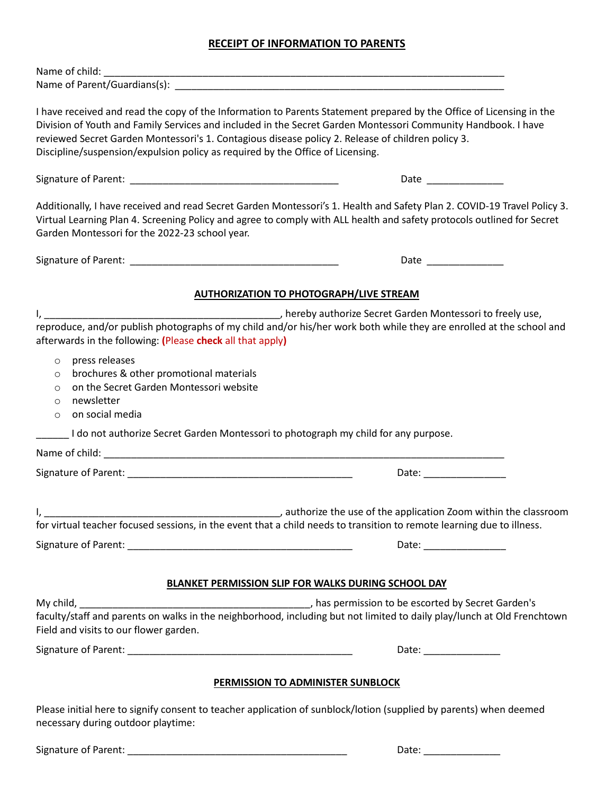## **RECEIPT OF INFORMATION TO PARENTS**

| Division of Youth and Family Services and included in the Secret Garden Montessori Community Handbook. I have<br>reviewed Secret Garden Montessori's 1. Contagious disease policy 2. Release of children policy 3.<br>Discipline/suspension/expulsion policy as required by the Office of Licensing. | I have received and read the copy of the Information to Parents Statement prepared by the Office of Licensing in the                                                                                                                               |
|------------------------------------------------------------------------------------------------------------------------------------------------------------------------------------------------------------------------------------------------------------------------------------------------------|----------------------------------------------------------------------------------------------------------------------------------------------------------------------------------------------------------------------------------------------------|
|                                                                                                                                                                                                                                                                                                      |                                                                                                                                                                                                                                                    |
| Garden Montessori for the 2022-23 school year.                                                                                                                                                                                                                                                       | Additionally, I have received and read Secret Garden Montessori's 1. Health and Safety Plan 2. COVID-19 Travel Policy 3.<br>Virtual Learning Plan 4. Screening Policy and agree to comply with ALL health and safety protocols outlined for Secret |
|                                                                                                                                                                                                                                                                                                      |                                                                                                                                                                                                                                                    |
|                                                                                                                                                                                                                                                                                                      | <b>AUTHORIZATION TO PHOTOGRAPH/LIVE STREAM</b>                                                                                                                                                                                                     |
| $\mathsf{I}$ , and the state $\mathsf{I}$                                                                                                                                                                                                                                                            | dereby authorize Secret Garden Montessori to freely use,                                                                                                                                                                                           |
| afterwards in the following: (Please check all that apply)                                                                                                                                                                                                                                           | reproduce, and/or publish photographs of my child and/or his/her work both while they are enrolled at the school and                                                                                                                               |
| press releases<br>$\circ$<br>brochures & other promotional materials<br>$\circ$<br>on the Secret Garden Montessori website<br>$\circ$<br>newsletter<br>$\circ$<br>on social media<br>$\circ$                                                                                                         |                                                                                                                                                                                                                                                    |
| I do not authorize Secret Garden Montessori to photograph my child for any purpose.                                                                                                                                                                                                                  |                                                                                                                                                                                                                                                    |
|                                                                                                                                                                                                                                                                                                      |                                                                                                                                                                                                                                                    |
|                                                                                                                                                                                                                                                                                                      | Date: and the state of the state of the state of the state of the state of the state of the state of the state                                                                                                                                     |
| for virtual teacher focused sessions, in the event that a child needs to transition to remote learning due to illness.                                                                                                                                                                               |                                                                                                                                                                                                                                                    |
|                                                                                                                                                                                                                                                                                                      | Date: _______________                                                                                                                                                                                                                              |
|                                                                                                                                                                                                                                                                                                      | BLANKET PERMISSION SLIP FOR WALKS DURING SCHOOL DAY                                                                                                                                                                                                |
| Field and visits to our flower garden.                                                                                                                                                                                                                                                               |                                                                                                                                                                                                                                                    |
|                                                                                                                                                                                                                                                                                                      | Date: _______________                                                                                                                                                                                                                              |
|                                                                                                                                                                                                                                                                                                      | <b>PERMISSION TO ADMINISTER SUNBLOCK</b>                                                                                                                                                                                                           |
| Please initial here to signify consent to teacher application of sunblock/lotion (supplied by parents) when deemed<br>necessary during outdoor playtime:                                                                                                                                             |                                                                                                                                                                                                                                                    |

Signature of Parent: \_\_\_\_\_\_\_\_\_\_\_\_\_\_\_\_\_\_\_\_\_\_\_\_\_\_\_\_\_\_\_\_\_\_\_\_\_\_\_\_ Date: \_\_\_\_\_\_\_\_\_\_\_\_\_\_